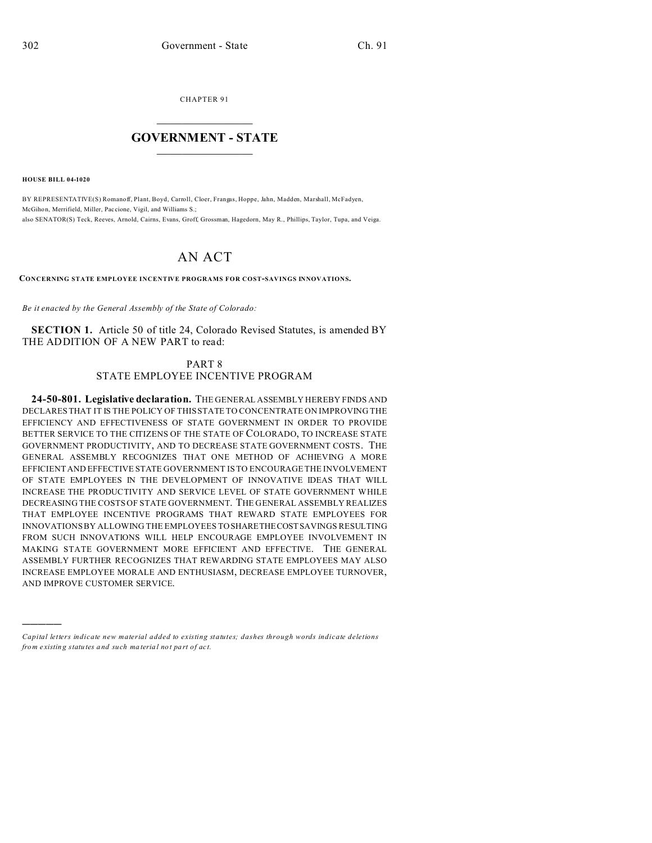CHAPTER 91  $\overline{\phantom{a}}$  , where  $\overline{\phantom{a}}$ 

## **GOVERNMENT - STATE**  $\_$   $\_$

**HOUSE BILL 04-1020**

)))))

BY REPRESENTATIVE(S) Romanoff, Plant, Boyd, Carroll, Cloer, Frangas, Hoppe, Jahn, Madden, Marshall, McFadyen, McGihon, Merrifield, Miller, Pac cione, Vigil, and Williams S.; also SENATOR(S) Teck, Reeves, Arnold, Cairns, Evans, Groff, Grossman, Hagedorn, May R., Phillips, Taylor, Tupa, and Veiga.

## AN ACT

**CONCERNING STATE EMPLOYEE INCENTIVE PROGRAMS FOR COST-SAVINGS INNOVATIONS.**

*Be it enacted by the General Assembly of the State of Colorado:*

**SECTION 1.** Article 50 of title 24, Colorado Revised Statutes, is amended BY THE ADDITION OF A NEW PART to read:

## PART 8 STATE EMPLOYEE INCENTIVE PROGRAM

**24-50-801. Legislative declaration.** THE GENERAL ASSEMBLY HEREBY FINDS AND DECLARES THAT IT IS THE POLICY OF THIS STATE TO CONCENTRATE ON IMPROVING THE EFFICIENCY AND EFFECTIVENESS OF STATE GOVERNMENT IN ORDER TO PROVIDE BETTER SERVICE TO THE CITIZENS OF THE STATE OF COLORADO, TO INCREASE STATE GOVERNMENT PRODUCTIVITY, AND TO DECREASE STATE GOVERNMENT COSTS. THE GENERAL ASSEMBLY RECOGNIZES THAT ONE METHOD OF ACHIEVING A MORE EFFICIENT AND EFFECTIVE STATE GOVERNMENT IS TO ENCOURAGE THE INVOLVEMENT OF STATE EMPLOYEES IN THE DEVELOPMENT OF INNOVATIVE IDEAS THAT WILL INCREASE THE PRODUCTIVITY AND SERVICE LEVEL OF STATE GOVERNMENT WHILE DECREASING THE COSTS OF STATE GOVERNMENT. THE GENERAL ASSEMBLY REALIZES THAT EMPLOYEE INCENTIVE PROGRAMS THAT REWARD STATE EMPLOYEES FOR INNOVATIONS BY ALLOWING THE EMPLOYEES TO SHARETHECOSTSAVINGS RESULTING FROM SUCH INNOVATIONS WILL HELP ENCOURAGE EMPLOYEE INVOLVEMENT IN MAKING STATE GOVERNMENT MORE EFFICIENT AND EFFECTIVE. THE GENERAL ASSEMBLY FURTHER RECOGNIZES THAT REWARDING STATE EMPLOYEES MAY ALSO INCREASE EMPLOYEE MORALE AND ENTHUSIASM, DECREASE EMPLOYEE TURNOVER, AND IMPROVE CUSTOMER SERVICE.

*Capital letters indicate new material added to existing statutes; dashes through words indicate deletions from e xistin g statu tes a nd such ma teria l no t pa rt of ac t.*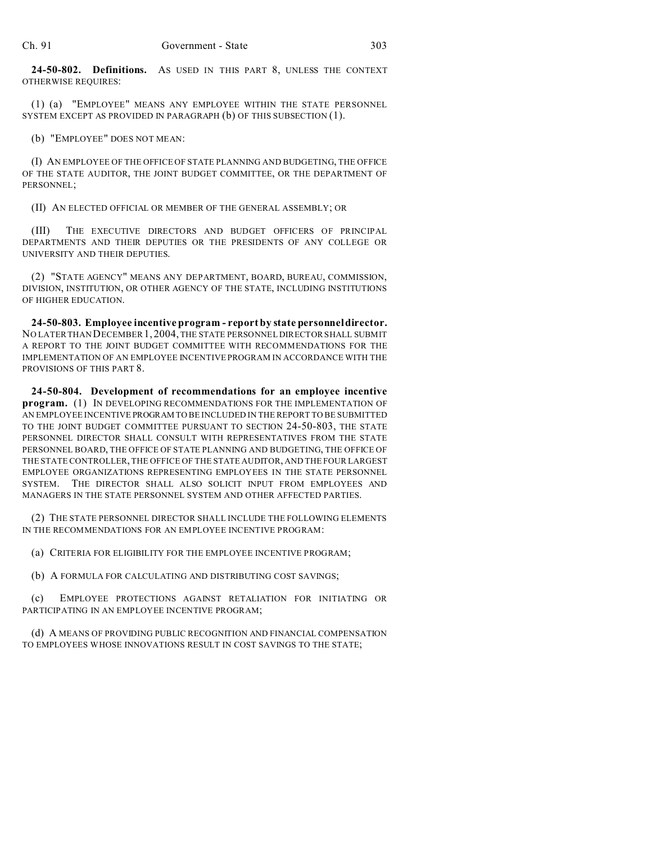**24-50-802. Definitions.** AS USED IN THIS PART 8, UNLESS THE CONTEXT OTHERWISE REQUIRES:

(1) (a) "EMPLOYEE" MEANS ANY EMPLOYEE WITHIN THE STATE PERSONNEL SYSTEM EXCEPT AS PROVIDED IN PARAGRAPH (b) OF THIS SUBSECTION (1).

(b) "EMPLOYEE" DOES NOT MEAN:

(I) AN EMPLOYEE OF THE OFFICE OF STATE PLANNING AND BUDGETING, THE OFFICE OF THE STATE AUDITOR, THE JOINT BUDGET COMMITTEE, OR THE DEPARTMENT OF PERSONNEL;

(II) AN ELECTED OFFICIAL OR MEMBER OF THE GENERAL ASSEMBLY; OR

(III) THE EXECUTIVE DIRECTORS AND BUDGET OFFICERS OF PRINCIPAL DEPARTMENTS AND THEIR DEPUTIES OR THE PRESIDENTS OF ANY COLLEGE OR UNIVERSITY AND THEIR DEPUTIES.

(2) "STATE AGENCY" MEANS ANY DEPARTMENT, BOARD, BUREAU, COMMISSION, DIVISION, INSTITUTION, OR OTHER AGENCY OF THE STATE, INCLUDING INSTITUTIONS OF HIGHER EDUCATION.

**24-50-803. Employee incentive program - report by state personnel director.** NO LATER THAN DECEMBER 1, 2004, THE STATE PERSONNEL DIRECTOR SHALL SUBMIT A REPORT TO THE JOINT BUDGET COMMITTEE WITH RECOMMENDATIONS FOR THE IMPLEMENTATION OF AN EMPLOYEE INCENTIVE PROGRAM IN ACCORDANCE WITH THE PROVISIONS OF THIS PART 8.

**24-50-804. Development of recommendations for an employee incentive program.** (1) IN DEVELOPING RECOMMENDATIONS FOR THE IMPLEMENTATION OF AN EMPLOYEE INCENTIVE PROGRAM TO BE INCLUDED IN THE REPORT TO BE SUBMITTED TO THE JOINT BUDGET COMMITTEE PURSUANT TO SECTION 24-50-803, THE STATE PERSONNEL DIRECTOR SHALL CONSULT WITH REPRESENTATIVES FROM THE STATE PERSONNEL BOARD, THE OFFICE OF STATE PLANNING AND BUDGETING, THE OFFICE OF THE STATE CONTROLLER, THE OFFICE OF THE STATE AUDITOR, AND THE FOUR LARGEST EMPLOYEE ORGANIZATIONS REPRESENTING EMPLOYEES IN THE STATE PERSONNEL SYSTEM. THE DIRECTOR SHALL ALSO SOLICIT INPUT FROM EMPLOYEES AND MANAGERS IN THE STATE PERSONNEL SYSTEM AND OTHER AFFECTED PARTIES.

(2) THE STATE PERSONNEL DIRECTOR SHALL INCLUDE THE FOLLOWING ELEMENTS IN THE RECOMMENDATIONS FOR AN EMPLOYEE INCENTIVE PROGRAM:

(a) CRITERIA FOR ELIGIBILITY FOR THE EMPLOYEE INCENTIVE PROGRAM;

(b) A FORMULA FOR CALCULATING AND DISTRIBUTING COST SAVINGS;

(c) EMPLOYEE PROTECTIONS AGAINST RETALIATION FOR INITIATING OR PARTICIPATING IN AN EMPLOYEE INCENTIVE PROGRAM;

(d) A MEANS OF PROVIDING PUBLIC RECOGNITION AND FINANCIAL COMPENSATION TO EMPLOYEES WHOSE INNOVATIONS RESULT IN COST SAVINGS TO THE STATE;